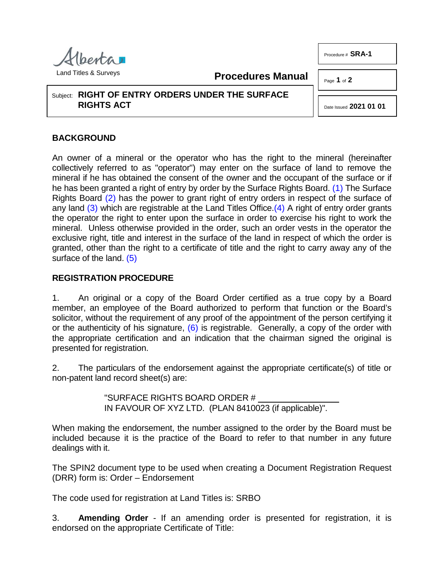

**Procedures Manual**

Page **1** of **2**

Procedure # **SRA-1**

Subject: **RIGHT OF ENTRY ORDERS UNDER THE SURFACE RIGHTS ACT**

<span id="page-0-3"></span><span id="page-0-0"></span>Date Issued **2021 01 01**

## **BACKGROUND**

<span id="page-0-2"></span><span id="page-0-1"></span>An owner of a mineral or the operator who has the right to the mineral (hereinafter collectively referred to as "operator") may enter on the surface of land to remove the mineral if he has obtained the consent of the owner and the occupant of the surface or if he has been granted a right of entry by order by the Surface Rights Board. [\(1\)](#page-1-0) The Surface Rights Board [\(2\)](#page-1-1) has the power to grant right of entry orders in respect of the surface of any land [\(3\)](#page-1-2) which are registrable at the Land Titles Office. (4) A right of entry order grants the operator the right to enter upon the surface in order to exercise his right to work the mineral. Unless otherwise provided in the order, such an order vests in the operator the exclusive right, title and interest in the surface of the land in respect of which the order is granted, other than the right to a certificate of title and the right to carry away any of the surface of the land. [\(5\)](#page-1-4)

## <span id="page-0-4"></span>**REGISTRATION PROCEDURE**

1. An original or a copy of the Board Order certified as a true copy by a Board member, an employee of the Board authorized to perform that function or the Board's solicitor, without the requirement of any proof of the appointment of the person certifying it or the authenticity of his signature,  $(6)$  is registrable. Generally, a copy of the order with the appropriate certification and an indication that the chairman signed the original is presented for registration.

2. The particulars of the endorsement against the appropriate certificate(s) of title or non-patent land record sheet(s) are:

> <span id="page-0-5"></span>"SURFACE RIGHTS BOARD ORDER # IN FAVOUR OF XYZ LTD. (PLAN 8410023 (if applicable)".

When making the endorsement, the number assigned to the order by the Board must be included because it is the practice of the Board to refer to that number in any future dealings with it.

The SPIN2 document type to be used when creating a Document Registration Request (DRR) form is: Order – Endorsement

The code used for registration at Land Titles is: SRBO

3. **Amending Order** - If an amending order is presented for registration, it is endorsed on the appropriate Certificate of Title: